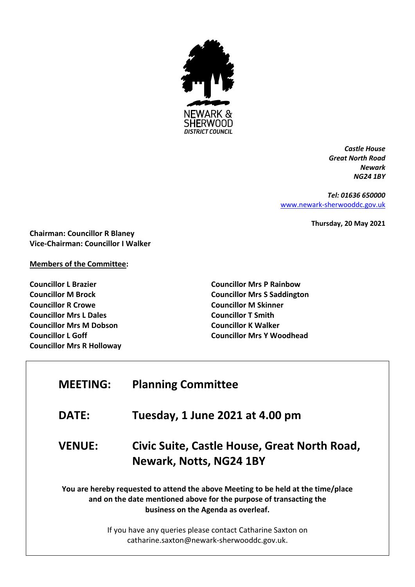

*Castle House Great North Road Newark NG24 1BY*

*Tel: 01636 650000* [www.newark-sherwooddc.gov.uk](http://www.newark-sherwooddc.gov.uk/)

**Thursday, 20 May 2021**

**Chairman: Councillor R Blaney Vice-Chairman: Councillor I Walker**

### **Members of the Committee:**

**Councillor L Brazier Councillor M Brock Councillor R Crowe Councillor Mrs L Dales Councillor Mrs M Dobson Councillor L Goff Councillor Mrs R Holloway**

 $\Gamma$ 

**Councillor Mrs P Rainbow Councillor Mrs S Saddington Councillor M Skinner Councillor T Smith Councillor K Walker Councillor Mrs Y Woodhead**

| <b>MEETING:</b>                                                                                                                                                                                | <b>Planning Committee</b>                                               |  |
|------------------------------------------------------------------------------------------------------------------------------------------------------------------------------------------------|-------------------------------------------------------------------------|--|
| <b>DATE:</b>                                                                                                                                                                                   | Tuesday, 1 June 2021 at 4.00 pm                                         |  |
| <b>VENUE:</b>                                                                                                                                                                                  | Civic Suite, Castle House, Great North Road,<br>Newark, Notts, NG24 1BY |  |
| You are hereby requested to attend the above Meeting to be held at the time/place<br>and on the date mentioned above for the purpose of transacting the<br>business on the Agenda as overleaf. |                                                                         |  |
| If you have any queries please contact Catharine Saxton on<br>catharine.saxton@newark-sherwooddc.gov.uk.                                                                                       |                                                                         |  |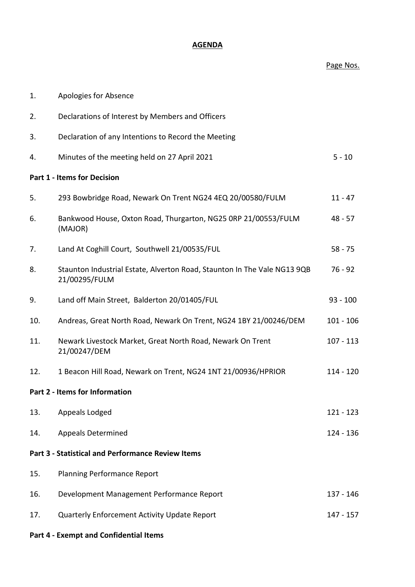# **AGENDA**

### Page Nos.

| 1.                                                       | Apologies for Absence                                                                     |             |  |
|----------------------------------------------------------|-------------------------------------------------------------------------------------------|-------------|--|
| 2.                                                       | Declarations of Interest by Members and Officers                                          |             |  |
| 3.                                                       | Declaration of any Intentions to Record the Meeting                                       |             |  |
| 4.                                                       | Minutes of the meeting held on 27 April 2021                                              | $5 - 10$    |  |
| <b>Part 1 - Items for Decision</b>                       |                                                                                           |             |  |
| 5.                                                       | 293 Bowbridge Road, Newark On Trent NG24 4EQ 20/00580/FULM                                | $11 - 47$   |  |
| 6.                                                       | Bankwood House, Oxton Road, Thurgarton, NG25 0RP 21/00553/FULM<br>(MAJOR)                 | $48 - 57$   |  |
| 7.                                                       | Land At Coghill Court, Southwell 21/00535/FUL                                             | $58 - 75$   |  |
| 8.                                                       | Staunton Industrial Estate, Alverton Road, Staunton In The Vale NG13 9QB<br>21/00295/FULM | $76 - 92$   |  |
| 9.                                                       | Land off Main Street, Balderton 20/01405/FUL                                              | $93 - 100$  |  |
| 10.                                                      | Andreas, Great North Road, Newark On Trent, NG24 1BY 21/00246/DEM                         | $101 - 106$ |  |
| 11.                                                      | Newark Livestock Market, Great North Road, Newark On Trent<br>21/00247/DEM                | $107 - 113$ |  |
| 12.                                                      | 1 Beacon Hill Road, Newark on Trent, NG24 1NT 21/00936/HPRIOR                             | $114 - 120$ |  |
| Part 2 - Items for Information                           |                                                                                           |             |  |
| 13.                                                      | Appeals Lodged                                                                            | $121 - 123$ |  |
| 14.                                                      | <b>Appeals Determined</b>                                                                 | 124 - 136   |  |
| <b>Part 3 - Statistical and Performance Review Items</b> |                                                                                           |             |  |
| 15.                                                      | <b>Planning Performance Report</b>                                                        |             |  |
| 16.                                                      | Development Management Performance Report                                                 | 137 - 146   |  |
| 17.                                                      | Quarterly Enforcement Activity Update Report                                              | 147 - 157   |  |
| <b>Part 4 - Exempt and Confidential Items</b>            |                                                                                           |             |  |